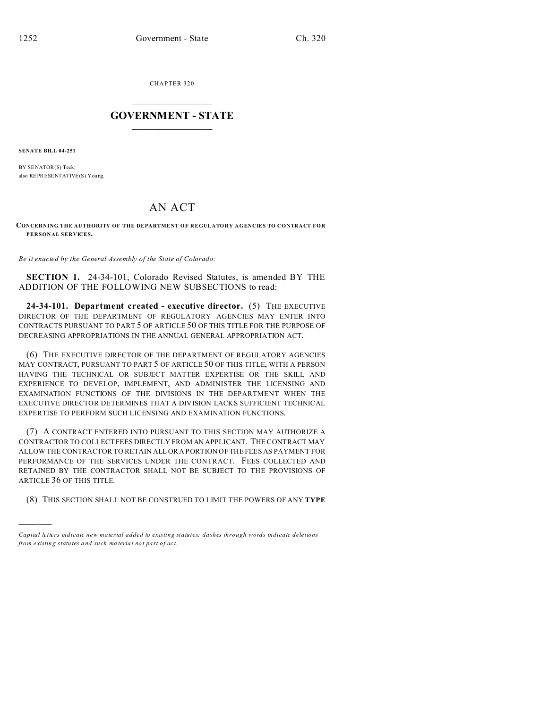CHAPTER 320  $\overline{\phantom{a}}$  , where  $\overline{\phantom{a}}$ 

## **GOVERNMENT - STATE**  $\_$   $\_$

**SENATE BILL 04-251**

)))))

BY SENATOR(S) Teck; also REPRESENTATIVE(S) You ng.

## AN ACT

**CONCERNING THE AUTHORITY OF THE DEPARTMENT OF REGULATORY AGENCIES TO CONTRACT FOR PERSONAL SERVICES.**

*Be it enacted by the General Assembly of the State of Colorado:*

**SECTION 1.** 24-34-101, Colorado Revised Statutes, is amended BY THE ADDITION OF THE FOLLOWING NEW SUBSECTIONS to read:

**24-34-101. Department created - executive director.** (5) THE EXECUTIVE DIRECTOR OF THE DEPARTMENT OF REGULATORY AGENCIES MAY ENTER INTO CONTRACTS PURSUANT TO PART 5 OF ARTICLE 50 OF THIS TITLE FOR THE PURPOSE OF DECREASING APPROPRIATIONS IN THE ANNUAL GENERAL APPROPRIATION ACT.

(6) THE EXECUTIVE DIRECTOR OF THE DEPARTMENT OF REGULATORY AGENCIES MAY CONTRACT, PURSUANT TO PART 5 OF ARTICLE 50 OF THIS TITLE, WITH A PERSON HAVING THE TECHNICAL OR SUBJECT MATTER EXPERTISE OR THE SKILL AND EXPERIENCE TO DEVELOP, IMPLEMENT, AND ADMINISTER THE LICENSING AND EXAMINATION FUNCTIONS OF THE DIVISIONS IN THE DEPARTMENT WHEN THE EXECUTIVE DIRECTOR DETERMINES THAT A DIVISION LACKS SUFFICIENT TECHNICAL EXPERTISE TO PERFORM SUCH LICENSING AND EXAMINATION FUNCTIONS.

(7) A CONTRACT ENTERED INTO PURSUANT TO THIS SECTION MAY AUTHORIZE A CONTRACTOR TO COLLECT FEES DIRECTLY FROM AN APPLICANT. THE CONTRACT MAY ALLOW THE CONTRACTOR TO RETAIN ALL OR A PORTION OF THE FEES AS PAYMENT FOR PERFORMANCE OF THE SERVICES UNDER THE CONTRACT. FEES COLLECTED AND RETAINED BY THE CONTRACTOR SHALL NOT BE SUBJECT TO THE PROVISIONS OF ARTICLE 36 OF THIS TITLE.

(8) THIS SECTION SHALL NOT BE CONSTRUED TO LIMIT THE POWERS OF ANY **TYPE**

*Capital letters indicate new material added to existing statutes; dashes through words indicate deletions from e xistin g statu tes a nd such ma teria l no t pa rt of ac t.*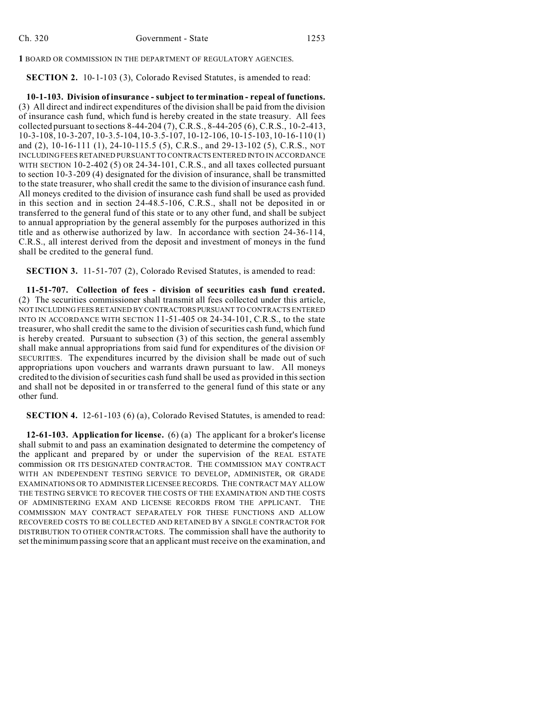**1** BOARD OR COMMISSION IN THE DEPARTMENT OF REGULATORY AGENCIES.

**SECTION 2.** 10-1-103 (3), Colorado Revised Statutes, is amended to read:

**10-1-103. Division of insurance - subject to termination - repeal of functions.** (3) All direct and indirect expenditures of the division shall be paid from the division of insurance cash fund, which fund is hereby created in the state treasury. All fees collected pursuant to sections 8-44-204 (7), C.R.S., 8-44-205 (6), C.R.S., 10-2-413, 10-3-108, 10-3-207, 10-3.5-104, 10-3.5-107, 10-12-106, 10-15-103, 10-16-110 (1) and (2), 10-16-111 (1), 24-10-115.5 (5), C.R.S., and 29-13-102 (5), C.R.S., NOT INCLUDING FEES RETAINED PURSUANT TO CONTRACTS ENTERED INTO IN ACCORDANCE WITH SECTION 10-2-402 (5) OR 24-34-101, C.R.S., and all taxes collected pursuant to section 10-3-209 (4) designated for the division of insurance, shall be transmitted to the state treasurer, who shall credit the same to the division of insurance cash fund. All moneys credited to the division of insurance cash fund shall be used as provided in this section and in section 24-48.5-106, C.R.S., shall not be deposited in or transferred to the general fund of this state or to any other fund, and shall be subject to annual appropriation by the general assembly for the purposes authorized in this title and as otherwise authorized by law. In accordance with section 24-36-114, C.R.S., all interest derived from the deposit and investment of moneys in the fund shall be credited to the general fund.

**SECTION 3.** 11-51-707 (2), Colorado Revised Statutes, is amended to read:

**11-51-707. Collection of fees - division of securities cash fund created.** (2) The securities commissioner shall transmit all fees collected under this article, NOT INCLUDING FEES RETAINED BY CONTRACTORSPURSUANT TO CONTRACTS ENTERED INTO IN ACCORDANCE WITH SECTION 11-51-405 OR 24-34-101, C.R.S., to the state treasurer, who shall credit the same to the division of securities cash fund, which fund is hereby created. Pursuant to subsection (3) of this section, the general assembly shall make annual appropriations from said fund for expenditures of the division OF SECURITIES. The expenditures incurred by the division shall be made out of such appropriations upon vouchers and warrants drawn pursuant to law. All moneys credited to the division of securities cash fund shall be used as provided in this section and shall not be deposited in or transferred to the general fund of this state or any other fund.

**SECTION 4.** 12-61-103 (6) (a), Colorado Revised Statutes, is amended to read:

**12-61-103. Application for license.** (6) (a) The applicant for a broker's license shall submit to and pass an examination designated to determine the competency of the applicant and prepared by or under the supervision of the REAL ESTATE commission OR ITS DESIGNATED CONTRACTOR. THE COMMISSION MAY CONTRACT WITH AN INDEPENDENT TESTING SERVICE TO DEVELOP, ADMINISTER, OR GRADE EXAMINATIONS OR TO ADMINISTER LICENSEE RECORDS. THE CONTRACT MAY ALLOW THE TESTING SERVICE TO RECOVER THE COSTS OF THE EXAMINATION AND THE COSTS OF ADMINISTERING EXAM AND LICENSE RECORDS FROM THE APPLICANT. THE COMMISSION MAY CONTRACT SEPARATELY FOR THESE FUNCTIONS AND ALLOW RECOVERED COSTS TO BE COLLECTED AND RETAINED BY A SINGLE CONTRACTOR FOR DISTRIBUTION TO OTHER CONTRACTORS. The commission shall have the authority to set the minimum passing score that an applicant must receive on the examination, and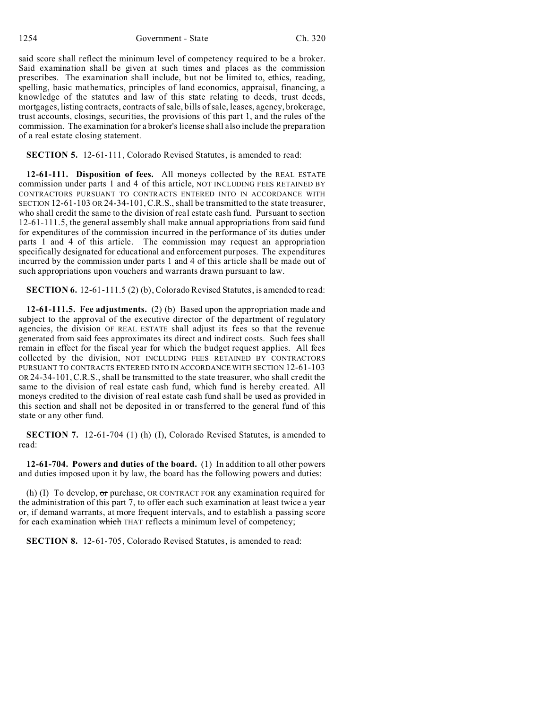said score shall reflect the minimum level of competency required to be a broker. Said examination shall be given at such times and places as the commission prescribes. The examination shall include, but not be limited to, ethics, reading, spelling, basic mathematics, principles of land economics, appraisal, financing, a knowledge of the statutes and law of this state relating to deeds, trust deeds, mortgages, listing contracts, contracts of sale, bills of sale, leases, agency, brokerage, trust accounts, closings, securities, the provisions of this part 1, and the rules of the commission. The examination for a broker's license shall also include the preparation of a real estate closing statement.

**SECTION 5.** 12-61-111, Colorado Revised Statutes, is amended to read:

**12-61-111. Disposition of fees.** All moneys collected by the REAL ESTATE commission under parts 1 and 4 of this article, NOT INCLUDING FEES RETAINED BY CONTRACTORS PURSUANT TO CONTRACTS ENTERED INTO IN ACCORDANCE WITH SECTION 12-61-103 OR 24-34-101,C.R.S., shall be transmitted to the state treasurer, who shall credit the same to the division of real estate cash fund. Pursuant to section 12-61-111.5, the general assembly shall make annual appropriations from said fund for expenditures of the commission incurred in the performance of its duties under parts 1 and 4 of this article. The commission may request an appropriation specifically designated for educational and enforcement purposes. The expenditures incurred by the commission under parts 1 and 4 of this article shall be made out of such appropriations upon vouchers and warrants drawn pursuant to law.

**SECTION 6.** 12-61-111.5 (2) (b), Colorado Revised Statutes, is amended to read:

**12-61-111.5. Fee adjustments.** (2) (b) Based upon the appropriation made and subject to the approval of the executive director of the department of regulatory agencies, the division OF REAL ESTATE shall adjust its fees so that the revenue generated from said fees approximates its direct and indirect costs. Such fees shall remain in effect for the fiscal year for which the budget request applies. All fees collected by the division, NOT INCLUDING FEES RETAINED BY CONTRACTORS PURSUANT TO CONTRACTS ENTERED INTO IN ACCORDANCE WITH SECTION 12-61-103 OR 24-34-101,C.R.S., shall be transmitted to the state treasurer, who shall credit the same to the division of real estate cash fund, which fund is hereby created. All moneys credited to the division of real estate cash fund shall be used as provided in this section and shall not be deposited in or transferred to the general fund of this state or any other fund.

**SECTION 7.** 12-61-704 (1) (h) (I), Colorado Revised Statutes, is amended to read:

**12-61-704. Powers and duties of the board.** (1) In addition to all other powers and duties imposed upon it by law, the board has the following powers and duties:

(h) (I) To develop,  $\sigma r$  purchase, OR CONTRACT FOR any examination required for the administration of this part 7, to offer each such examination at least twice a year or, if demand warrants, at more frequent intervals, and to establish a passing score for each examination which THAT reflects a minimum level of competency;

**SECTION 8.** 12-61-705, Colorado Revised Statutes, is amended to read: